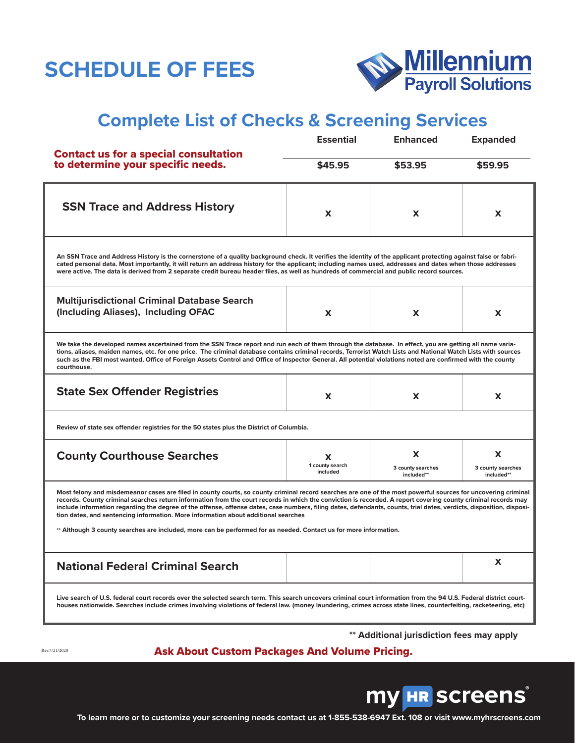# **SCHEDULE OF FEES**



## **Complete List of Checks & Screening Services**

| <b>Contact us for a special consultation</b><br>to determine your specific needs.                                                                                                                                                                                                                                                                                                                                                                                                                                                                                                                                                                                                                                  | <b>Essential</b>                 | <b>Enhanced</b>                      | <b>Expanded</b>                      |
|--------------------------------------------------------------------------------------------------------------------------------------------------------------------------------------------------------------------------------------------------------------------------------------------------------------------------------------------------------------------------------------------------------------------------------------------------------------------------------------------------------------------------------------------------------------------------------------------------------------------------------------------------------------------------------------------------------------------|----------------------------------|--------------------------------------|--------------------------------------|
|                                                                                                                                                                                                                                                                                                                                                                                                                                                                                                                                                                                                                                                                                                                    | \$45.95                          | \$53.95                              | \$59.95                              |
| <b>SSN Trace and Address History</b>                                                                                                                                                                                                                                                                                                                                                                                                                                                                                                                                                                                                                                                                               | X                                | X                                    | x                                    |
| An SSN Trace and Address History is the cornerstone of a quality background check. It verifies the identity of the applicant protecting against false or fabri-<br>cated personal data. Most importantly, it will return an address history for the applicant; including names used, addresses and dates when those addresses<br>were active. The data is derived from 2 separate credit bureau header files, as well as hundreds of commercial and public record sources.                                                                                                                                                                                                                                         |                                  |                                      |                                      |
| <b>Multijurisdictional Criminal Database Search</b><br>(Including Aliases), Including OFAC                                                                                                                                                                                                                                                                                                                                                                                                                                                                                                                                                                                                                         | X                                | X                                    | x                                    |
| We take the developed names ascertained from the SSN Trace report and run each of them through the database. In effect, you are getting all name varia-<br>tions, aliases, maiden names, etc. for one price. The criminal database contains criminal records, Terrorist Watch Lists and National Watch Lists with sources<br>such as the FBI most wanted, Office of Foreign Assets Control and Office of Inspector General. All potential violations noted are confirmed with the county<br>courthouse.                                                                                                                                                                                                            |                                  |                                      |                                      |
| <b>State Sex Offender Registries</b>                                                                                                                                                                                                                                                                                                                                                                                                                                                                                                                                                                                                                                                                               | X                                | X                                    | x                                    |
| Review of state sex offender registries for the 50 states plus the District of Columbia.                                                                                                                                                                                                                                                                                                                                                                                                                                                                                                                                                                                                                           |                                  |                                      |                                      |
| <b>County Courthouse Searches</b>                                                                                                                                                                                                                                                                                                                                                                                                                                                                                                                                                                                                                                                                                  | X<br>1 county search<br>included | X<br>3 county searches<br>included** | x<br>3 county searches<br>included** |
| Most felony and misdemeanor cases are filed in county courts, so county criminal record searches are one of the most powerful sources for uncovering criminal<br>records. County criminal searches return information from the court records in which the conviction is recorded. A report covering county criminal records may<br>include information regarding the degree of the offense, offense dates, case numbers, filing dates, defendants, counts, trial dates, verdicts, disposition, disposi-<br>tion dates, and sentencing information. More information about additional searches<br>** Although 3 county searches are included, more can be performed for as needed. Contact us for more information. |                                  |                                      |                                      |
| <b>National Federal Criminal Search</b>                                                                                                                                                                                                                                                                                                                                                                                                                                                                                                                                                                                                                                                                            |                                  |                                      | x                                    |
| Live search of U.S. federal court records over the selected search term. This search uncovers criminal court information from the 94 U.S. Federal district court-<br>houses nationwide. Searches include crimes involving violations of federal law. (money laundering, crimes across state lines, counterfeiting, racketeering, etc)                                                                                                                                                                                                                                                                                                                                                                              |                                  |                                      |                                      |

**\*\* Additional jurisdiction fees may apply**

Rev.7/21/2020

#### Ask About Custom Packages And Volume Pricing.



**To learn more or to customize your screening needs contact us at 1-855-538-6947 Ext. 108 or visit www.myhrscreens.com**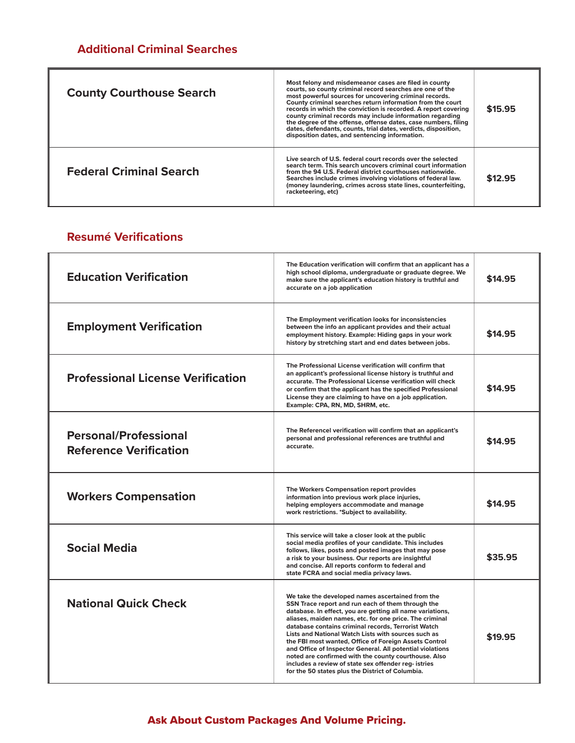### **Additional Criminal Searches**

| <b>County Courthouse Search</b> | Most felony and misdemeanor cases are filed in county<br>courts, so county criminal record searches are one of the<br>most powerful sources for uncovering criminal records.<br>County criminal searches return information from the court<br>records in which the conviction is recorded. A report covering<br>county criminal records may include information regarding<br>the degree of the offense, offense dates, case numbers, filing<br>dates, defendants, counts, trial dates, verdicts, disposition,<br>disposition dates, and sentencing information. | \$15.95 |
|---------------------------------|-----------------------------------------------------------------------------------------------------------------------------------------------------------------------------------------------------------------------------------------------------------------------------------------------------------------------------------------------------------------------------------------------------------------------------------------------------------------------------------------------------------------------------------------------------------------|---------|
| <b>Federal Criminal Search</b>  | Live search of U.S. federal court records over the selected<br>search term. This search uncovers criminal court information<br>from the 94 U.S. Federal district courthouses nationwide.<br>Searches include crimes involving violations of federal law.<br>(money laundering, crimes across state lines, counterfeiting,<br>racketeering, etc)                                                                                                                                                                                                                 | \$12.95 |

#### **Resumé Verifications**

| <b>Education Verification</b>                                 | The Education verification will confirm that an applicant has a<br>high school diploma, undergraduate or graduate degree. We<br>make sure the applicant's education history is truthful and<br>accurate on a job application                                                                                                                                                                                                                                                                                                                                                                                                          | \$14.95 |
|---------------------------------------------------------------|---------------------------------------------------------------------------------------------------------------------------------------------------------------------------------------------------------------------------------------------------------------------------------------------------------------------------------------------------------------------------------------------------------------------------------------------------------------------------------------------------------------------------------------------------------------------------------------------------------------------------------------|---------|
| <b>Employment Verification</b>                                | The Employment verification looks for inconsistencies<br>between the info an applicant provides and their actual<br>employment history. Example: Hiding gaps in your work<br>history by stretching start and end dates between jobs.                                                                                                                                                                                                                                                                                                                                                                                                  | \$14.95 |
| <b>Professional License Verification</b>                      | The Professional License verification will confirm that<br>an applicant's professional license history is truthful and<br>accurate. The Professional License verification will check<br>or confirm that the applicant has the specified Professional<br>License they are claiming to have on a job application.<br>Example: CPA, RN, MD, SHRM, etc.                                                                                                                                                                                                                                                                                   | \$14.95 |
| <b>Personal/Professional</b><br><b>Reference Verification</b> | The Referencel verification will confirm that an applicant's<br>personal and professional references are truthful and<br>accurate.                                                                                                                                                                                                                                                                                                                                                                                                                                                                                                    | \$14.95 |
| <b>Workers Compensation</b>                                   | The Workers Compensation report provides<br>information into previous work place injuries,<br>helping employers accommodate and manage<br>work restrictions. *Subject to availability.                                                                                                                                                                                                                                                                                                                                                                                                                                                | \$14.95 |
| <b>Social Media</b>                                           | This service will take a closer look at the public<br>social media profiles of your candidate. This includes<br>follows, likes, posts and posted images that may pose<br>a risk to your business. Our reports are insightful<br>and concise. All reports conform to federal and<br>state FCRA and social media privacy laws.                                                                                                                                                                                                                                                                                                          | \$35.95 |
| <b>National Quick Check</b>                                   | We take the developed names ascertained from the<br>SSN Trace report and run each of them through the<br>database. In effect, you are getting all name variations,<br>aliases, maiden names, etc. for one price. The criminal<br>database contains criminal records. Terrorist Watch<br>Lists and National Watch Lists with sources such as<br>the FBI most wanted, Office of Foreign Assets Control<br>and Office of Inspector General. All potential violations<br>noted are confirmed with the county courthouse. Also<br>includes a review of state sex offender reg- istries<br>for the 50 states plus the District of Columbia. | \$19.95 |

### Ask About Custom Packages And Volume Pricing.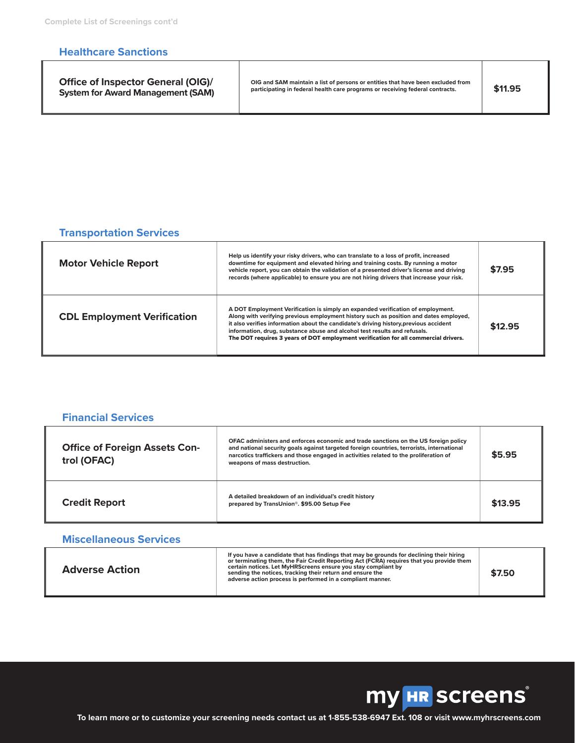#### **Healthcare Sanctions**

| <b>Office of Inspector General (OIG)/</b> |
|-------------------------------------------|
| <b>System for Award Management (SAM)</b>  |

**OIG and SAM maintain a list of persons or entities that have been excluded from participating in federal health care programs or receiving federal contracts. \$11.95**

#### **Transportation Services**

| <b>Motor Vehicle Report</b>        | Help us identify your risky drivers, who can translate to a loss of profit, increased<br>downtime for equipment and elevated hiring and training costs. By running a motor<br>vehicle report, you can obtain the validation of a presented driver's license and driving<br>records (where applicable) to ensure you are not hiring drivers that increase your risk.                                                                   | \$7.95  |
|------------------------------------|---------------------------------------------------------------------------------------------------------------------------------------------------------------------------------------------------------------------------------------------------------------------------------------------------------------------------------------------------------------------------------------------------------------------------------------|---------|
| <b>CDL Employment Verification</b> | A DOT Employment Verification is simply an expanded verification of employment.<br>Along with verifying previous employment history such as position and dates employed,<br>it also verifies information about the candidate's driving history, previous accident<br>information, drug, substance abuse and alcohol test results and refusals.<br>The DOT requires 3 years of DOT employment verification for all commercial drivers. | \$12.95 |

| <b>Financial Services</b>                           |                                                                                                                                                                                                                                                                                                           |         |
|-----------------------------------------------------|-----------------------------------------------------------------------------------------------------------------------------------------------------------------------------------------------------------------------------------------------------------------------------------------------------------|---------|
| <b>Office of Foreign Assets Con-</b><br>trol (OFAC) | OFAC administers and enforces economic and trade sanctions on the US foreign policy<br>and national security goals against targeted foreign countries, terrorists, international<br>narcotics traffickers and those engaged in activities related to the proliferation of<br>weapons of mass destruction. | \$5.95  |
| <b>Credit Report</b>                                | A detailed breakdown of an individual's credit history<br>prepared by TransUnion®. \$95.00 Setup Fee                                                                                                                                                                                                      | \$13.95 |

#### **Miscellaneous Services**

| <b>Adverse Action</b> | If you have a candidate that has findings that may be grounds for declining their hiring<br>or terminating them, the Fair Credit Reporting Act (FCRA) requires that you provide them<br>certain notices. Let MyHRScreens ensure you stay compliant by<br>sending the notices, tracking their return and ensure the<br>adverse action process is performed in a compliant manner. | \$7.50 |
|-----------------------|----------------------------------------------------------------------------------------------------------------------------------------------------------------------------------------------------------------------------------------------------------------------------------------------------------------------------------------------------------------------------------|--------|
|-----------------------|----------------------------------------------------------------------------------------------------------------------------------------------------------------------------------------------------------------------------------------------------------------------------------------------------------------------------------------------------------------------------------|--------|